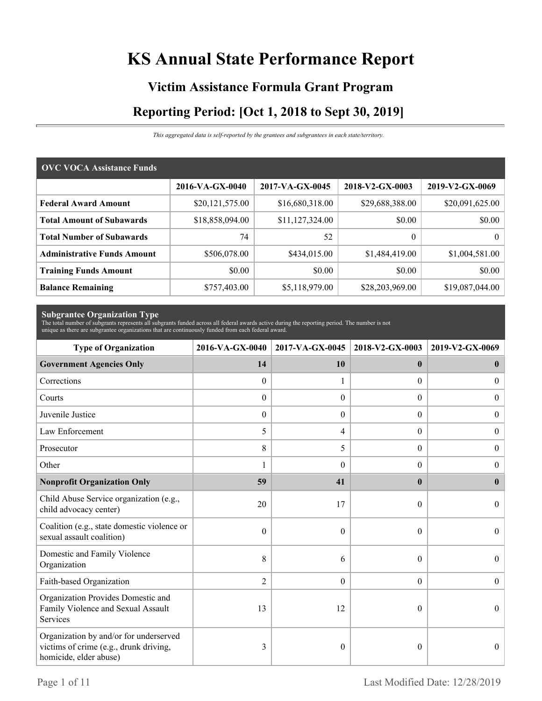# **KS Annual State Performance Report**

# **Victim Assistance Formula Grant Program Reporting Period: [Oct 1, 2018 to Sept 30, 2019]**

*This aggregated data is self-reported by the grantees and subgrantees in each state/territory.*

| <b>OVC VOCA Assistance Funds</b>   |                 |                 |                 |                 |  |  |
|------------------------------------|-----------------|-----------------|-----------------|-----------------|--|--|
|                                    | 2016-VA-GX-0040 | 2017-VA-GX-0045 | 2018-V2-GX-0003 | 2019-V2-GX-0069 |  |  |
| <b>Federal Award Amount</b>        | \$20,121,575.00 | \$16,680,318.00 | \$29,688,388.00 | \$20,091,625.00 |  |  |
| <b>Total Amount of Subawards</b>   | \$18,858,094.00 | \$11,127,324.00 | \$0.00          | \$0.00          |  |  |
| <b>Total Number of Subawards</b>   | 74              | 52              | 0               | $\overline{0}$  |  |  |
| <b>Administrative Funds Amount</b> | \$506,078.00    | \$434,015.00    | \$1,484,419.00  | \$1,004,581.00  |  |  |
| <b>Training Funds Amount</b>       | \$0.00          | \$0.00          | \$0.00          | \$0.00          |  |  |
| <b>Balance Remaining</b>           | \$757,403.00    | \$5,118,979.00  | \$28,203,969.00 | \$19,087,044.00 |  |  |

**Subgrantee Organization Type** The total number of subgrants represents all subgrants funded across all federal awards active during the reporting period. The number is not unique as there are subgrantee organizations that are continuously funded from each federal award.

| <b>Type of Organization</b>                                                                                | 2017-VA-GX-0045<br>2016-VA-GX-0040 |                  | 2018-V2-GX-0003  | 2019-V2-GX-0069  |  |
|------------------------------------------------------------------------------------------------------------|------------------------------------|------------------|------------------|------------------|--|
| <b>Government Agencies Only</b>                                                                            | 14                                 | 10               | $\mathbf{0}$     | $\bf{0}$         |  |
| Corrections                                                                                                | $\boldsymbol{0}$                   |                  | $\Omega$         | $\overline{0}$   |  |
| Courts                                                                                                     | $\theta$                           | $\Omega$         | $\Omega$         | $\theta$         |  |
| Juvenile Justice                                                                                           | $\boldsymbol{0}$                   | $\boldsymbol{0}$ | $\boldsymbol{0}$ | $\boldsymbol{0}$ |  |
| Law Enforcement                                                                                            | 5                                  | 4                | $\boldsymbol{0}$ | $\boldsymbol{0}$ |  |
| Prosecutor                                                                                                 | 8                                  | 5                | $\Omega$         | $\overline{0}$   |  |
| Other                                                                                                      | 1                                  | $\Omega$         | $\theta$         | $\theta$         |  |
| <b>Nonprofit Organization Only</b>                                                                         | 59                                 | 41               | $\mathbf{0}$     | $\mathbf{0}$     |  |
| Child Abuse Service organization (e.g.,<br>child advocacy center)                                          | 20                                 | 17               | $\theta$         | $\theta$         |  |
| Coalition (e.g., state domestic violence or<br>sexual assault coalition)                                   | $\mathbf{0}$                       | $\theta$         | $\theta$         | $\theta$         |  |
| Domestic and Family Violence<br>Organization                                                               | 8                                  | 6                | $\theta$         | $\Omega$         |  |
| Faith-based Organization                                                                                   | $\overline{2}$                     | $\theta$         | $\overline{0}$   | $\theta$         |  |
| Organization Provides Domestic and<br>Family Violence and Sexual Assault<br>Services                       | 13                                 | 12               | $\theta$         | $\theta$         |  |
| Organization by and/or for underserved<br>victims of crime (e.g., drunk driving,<br>homicide, elder abuse) | 3                                  | $\theta$         | 0                | $\theta$         |  |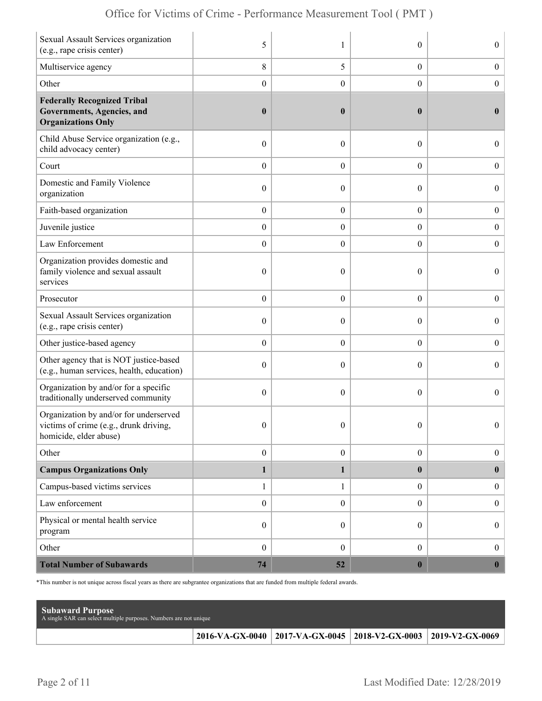| Sexual Assault Services organization<br>(e.g., rape crisis center)                                        | 5                |                  | $\theta$         | $\overline{0}$   |
|-----------------------------------------------------------------------------------------------------------|------------------|------------------|------------------|------------------|
| Multiservice agency                                                                                       | 8                | 5                | $\boldsymbol{0}$ | $\boldsymbol{0}$ |
| Other                                                                                                     | $\boldsymbol{0}$ | $\boldsymbol{0}$ | $\boldsymbol{0}$ | $\boldsymbol{0}$ |
| <b>Federally Recognized Tribal</b><br>Governments, Agencies, and<br><b>Organizations Only</b>             | $\boldsymbol{0}$ | $\boldsymbol{0}$ | $\bf{0}$         | $\mathbf{0}$     |
| Child Abuse Service organization (e.g.,<br>child advocacy center)                                         | $\boldsymbol{0}$ | $\theta$         | $\theta$         | $\overline{0}$   |
| Court                                                                                                     | $\boldsymbol{0}$ | $\theta$         | $\overline{0}$   | $\overline{0}$   |
| Domestic and Family Violence<br>organization                                                              | $\boldsymbol{0}$ | $\theta$         | $\theta$         | $\overline{0}$   |
| Faith-based organization                                                                                  | $\boldsymbol{0}$ | $\boldsymbol{0}$ | $\boldsymbol{0}$ | $\boldsymbol{0}$ |
| Juvenile justice                                                                                          | $\boldsymbol{0}$ | $\overline{0}$   | $\boldsymbol{0}$ | $\boldsymbol{0}$ |
| Law Enforcement                                                                                           | $\boldsymbol{0}$ | $\theta$         | $\theta$         | $\mathbf{0}$     |
| Organization provides domestic and<br>family violence and sexual assault<br>services                      | $\boldsymbol{0}$ | $\mathbf{0}$     | $\theta$         | $\overline{0}$   |
| Prosecutor                                                                                                | $\boldsymbol{0}$ | $\theta$         | $\overline{0}$   | $\boldsymbol{0}$ |
| Sexual Assault Services organization<br>(e.g., rape crisis center)                                        | $\boldsymbol{0}$ | $\theta$         | $\theta$         | $\overline{0}$   |
| Other justice-based agency                                                                                | $\boldsymbol{0}$ | $\boldsymbol{0}$ | $\boldsymbol{0}$ | $\boldsymbol{0}$ |
| Other agency that is NOT justice-based<br>(e.g., human services, health, education)                       | $\boldsymbol{0}$ | $\theta$         | $\theta$         | $\boldsymbol{0}$ |
| Organization by and/or for a specific<br>traditionally underserved community                              | $\mathbf{0}$     | $\theta$         | $\theta$         | $\overline{0}$   |
| Organization by and/or for underserved<br>victims of crime (e.g., drunk driving<br>homicide, elder abuse) | $\boldsymbol{0}$ | $\boldsymbol{0}$ | $\Omega$         | $\Omega$         |
| Other                                                                                                     | $\boldsymbol{0}$ | $\boldsymbol{0}$ | $\boldsymbol{0}$ | $\boldsymbol{0}$ |
| <b>Campus Organizations Only</b>                                                                          | $\mathbf{1}$     | 1                | $\bf{0}$         | $\bf{0}$         |
| Campus-based victims services                                                                             | $\mathbf{1}$     | 1                | $\overline{0}$   | $\boldsymbol{0}$ |
| Law enforcement                                                                                           | $\boldsymbol{0}$ | $\mathbf{0}$     | $\overline{0}$   | $\boldsymbol{0}$ |
| Physical or mental health service<br>program                                                              | $\boldsymbol{0}$ | $\boldsymbol{0}$ | $\overline{0}$   | $\boldsymbol{0}$ |
| Other                                                                                                     | $\boldsymbol{0}$ | $\mathbf{0}$     | $\overline{0}$   | $\boldsymbol{0}$ |
| <b>Total Number of Subawards</b>                                                                          | 74               | 52               | $\boldsymbol{0}$ | $\boldsymbol{0}$ |

\*This number is not unique across fiscal years as there are subgrantee organizations that are funded from multiple federal awards.

| <b>Subaward Purpose</b><br>A single SAR can select multiple purposes. Numbers are not unique |                                                                 |  |
|----------------------------------------------------------------------------------------------|-----------------------------------------------------------------|--|
|                                                                                              | 2016-VA-GX-0040 2017-VA-GX-0045 2018-V2-GX-0003 2019-V2-GX-0069 |  |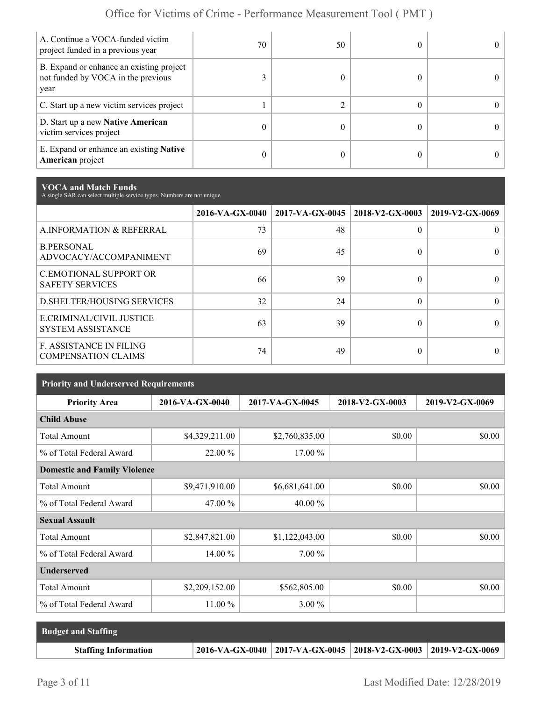| A. Continue a VOCA-funded victim<br>project funded in a previous year                  | 70 | 50 |  |
|----------------------------------------------------------------------------------------|----|----|--|
| B. Expand or enhance an existing project<br>not funded by VOCA in the previous<br>year |    |    |  |
| C. Start up a new victim services project                                              |    |    |  |
| D. Start up a new Native American<br>victim services project                           |    |    |  |
| E. Expand or enhance an existing <b>Native</b><br><b>American</b> project              |    |    |  |

**VOCA and Match Funds** A single SAR can select multiple service types. Numbers are not unique

|                                                              | 2016-VA-GX-0040 | $2017$ -VA-GX-0045   2018-V2-GX-0003 |          | 2019-V2-GX-0069 |
|--------------------------------------------------------------|-----------------|--------------------------------------|----------|-----------------|
| A.INFORMATION & REFERRAL                                     | 73              | 48                                   | $\Omega$ |                 |
| <b>B.PERSONAL</b><br>ADVOCACY/ACCOMPANIMENT                  | 69              | 45                                   | 0        |                 |
| <b>C.EMOTIONAL SUPPORT OR</b><br><b>SAFETY SERVICES</b>      | 66              | 39                                   | 0        |                 |
| <b>D.SHELTER/HOUSING SERVICES</b>                            | 32              | 24                                   | $\Omega$ | $\theta$        |
| E.CRIMINAL/CIVIL JUSTICE<br><b>SYSTEM ASSISTANCE</b>         | 63              | 39                                   | 0        |                 |
| <b>F. ASSISTANCE IN FILING</b><br><b>COMPENSATION CLAIMS</b> | 74              | 49                                   | 0        |                 |

| <b>Priority and Underserved Requirements</b> |                 |                 |                 |                 |  |
|----------------------------------------------|-----------------|-----------------|-----------------|-----------------|--|
| <b>Priority Area</b>                         | 2016-VA-GX-0040 | 2017-VA-GX-0045 | 2018-V2-GX-0003 | 2019-V2-GX-0069 |  |
| <b>Child Abuse</b>                           |                 |                 |                 |                 |  |
| <b>Total Amount</b>                          | \$4,329,211.00  | \$2,760,835.00  | \$0.00          | \$0.00          |  |
| % of Total Federal Award                     | 22.00 %         | 17.00 %         |                 |                 |  |
| <b>Domestic and Family Violence</b>          |                 |                 |                 |                 |  |
| <b>Total Amount</b>                          | \$9,471,910.00  | \$6,681,641.00  | \$0.00          | \$0.00          |  |
| % of Total Federal Award                     | 47.00 %         | 40.00 %         |                 |                 |  |
| <b>Sexual Assault</b>                        |                 |                 |                 |                 |  |
| <b>Total Amount</b>                          | \$2,847,821.00  | \$1,122,043.00  | \$0.00          | \$0.00          |  |
| % of Total Federal Award                     | 14.00 %         | 7.00 %          |                 |                 |  |
| <b>Underserved</b>                           |                 |                 |                 |                 |  |
| <b>Total Amount</b>                          | \$2,209,152.00  | \$562,805.00    | \$0.00          | \$0.00          |  |
| % of Total Federal Award                     | $11.00\%$       | $3.00\%$        |                 |                 |  |

| <b>Budget and Staffing</b>  |                                                                       |  |
|-----------------------------|-----------------------------------------------------------------------|--|
| <b>Staffing Information</b> | 2016-VA-GX-0040   2017-VA-GX-0045   2018-V2-GX-0003   2019-V2-GX-0069 |  |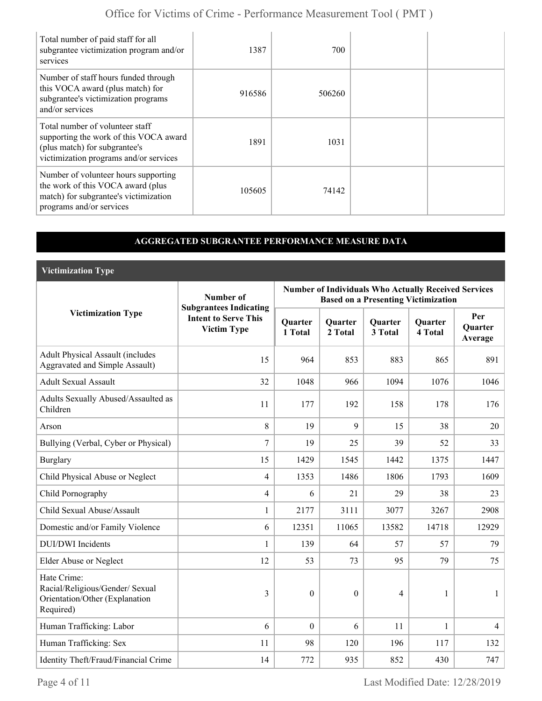| Total number of paid staff for all<br>subgrantee victimization program and/or<br>services                                                            | 1387   | 700    |  |
|------------------------------------------------------------------------------------------------------------------------------------------------------|--------|--------|--|
| Number of staff hours funded through<br>this VOCA award (plus match) for<br>subgrantee's victimization programs<br>and/or services                   | 916586 | 506260 |  |
| Total number of volunteer staff<br>supporting the work of this VOCA award<br>(plus match) for subgrantee's<br>victimization programs and/or services | 1891   | 1031   |  |
| Number of volunteer hours supporting<br>the work of this VOCA award (plus<br>match) for subgrantee's victimization<br>programs and/or services       | 105605 | 74142  |  |

### **AGGREGATED SUBGRANTEE PERFORMANCE MEASURE DATA**

**Victimization Type**

|                                                                                               | Number of                                                                          | <b>Number of Individuals Who Actually Received Services</b><br><b>Based on a Presenting Victimization</b> |                           |                           |                           |                                  |
|-----------------------------------------------------------------------------------------------|------------------------------------------------------------------------------------|-----------------------------------------------------------------------------------------------------------|---------------------------|---------------------------|---------------------------|----------------------------------|
| <b>Victimization Type</b>                                                                     | <b>Subgrantees Indicating</b><br><b>Intent to Serve This</b><br><b>Victim Type</b> | Quarter<br>1 Total                                                                                        | <b>Quarter</b><br>2 Total | <b>Quarter</b><br>3 Total | <b>Quarter</b><br>4 Total | Per<br><b>Ouarter</b><br>Average |
| <b>Adult Physical Assault (includes</b><br><b>Aggravated and Simple Assault)</b>              | 15                                                                                 | 964                                                                                                       | 853                       | 883                       | 865                       | 891                              |
| <b>Adult Sexual Assault</b>                                                                   | 32                                                                                 | 1048                                                                                                      | 966                       | 1094                      | 1076                      | 1046                             |
| Adults Sexually Abused/Assaulted as<br>Children                                               | 11                                                                                 | 177                                                                                                       | 192                       | 158                       | 178                       | 176                              |
| Arson                                                                                         | 8                                                                                  | 19                                                                                                        | 9                         | 15                        | 38                        | 20                               |
| Bullying (Verbal, Cyber or Physical)                                                          | 7                                                                                  | 19                                                                                                        | 25                        | 39                        | 52                        | 33                               |
| <b>Burglary</b>                                                                               | 15                                                                                 | 1429                                                                                                      | 1545                      | 1442                      | 1375                      | 1447                             |
| Child Physical Abuse or Neglect                                                               | $\overline{4}$                                                                     | 1353                                                                                                      | 1486                      | 1806                      | 1793                      | 1609                             |
| Child Pornography                                                                             | $\overline{4}$                                                                     | 6                                                                                                         | 21                        | 29                        | 38                        | 23                               |
| Child Sexual Abuse/Assault                                                                    | $\mathbf{1}$                                                                       | 2177                                                                                                      | 3111                      | 3077                      | 3267                      | 2908                             |
| Domestic and/or Family Violence                                                               | 6                                                                                  | 12351                                                                                                     | 11065                     | 13582                     | 14718                     | 12929                            |
| <b>DUI/DWI</b> Incidents                                                                      | 1                                                                                  | 139                                                                                                       | 64                        | 57                        | 57                        | 79                               |
| <b>Elder Abuse or Neglect</b>                                                                 | 12                                                                                 | 53                                                                                                        | 73                        | 95                        | 79                        | 75                               |
| Hate Crime:<br>Racial/Religious/Gender/ Sexual<br>Orientation/Other (Explanation<br>Required) | $\overline{3}$                                                                     | $\theta$                                                                                                  | $\theta$                  | $\overline{4}$            | $\mathbf{1}$              | 1                                |
| Human Trafficking: Labor                                                                      | 6                                                                                  | $\overline{0}$                                                                                            | 6                         | 11                        | $\mathbf{1}$              | $\overline{4}$                   |
| Human Trafficking: Sex                                                                        | 11                                                                                 | 98                                                                                                        | 120                       | 196                       | 117                       | 132                              |
| Identity Theft/Fraud/Financial Crime                                                          | 14                                                                                 | 772                                                                                                       | 935                       | 852                       | 430                       | 747                              |

Page 4 of 11 Last Modified Date: 12/28/2019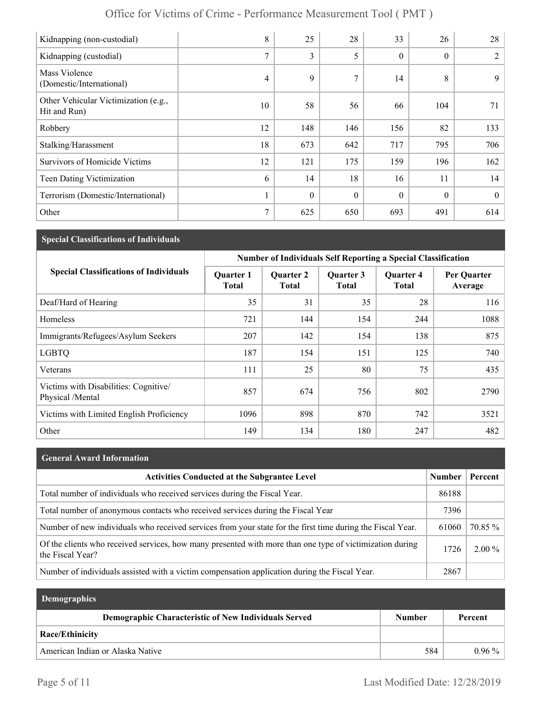| Office for Victims of Crime - Performance Measurement Tool (PMT) |  |
|------------------------------------------------------------------|--|
|------------------------------------------------------------------|--|

| Kidnapping (non-custodial)                           | 8              | 25           | 28       | 33       | 26       | 28       |
|------------------------------------------------------|----------------|--------------|----------|----------|----------|----------|
| Kidnapping (custodial)                               | 7              | 3            | 5        | $\theta$ | $\theta$ | 2        |
| Mass Violence<br>(Domestic/International)            | $\overline{4}$ | 9            | 7        | 14       | 8        | 9        |
| Other Vehicular Victimization (e.g.,<br>Hit and Run) | 10             | 58           | 56       | 66       | 104      | 71       |
| Robbery                                              | 12             | 148          | 146      | 156      | 82       | 133      |
| Stalking/Harassment                                  | 18             | 673          | 642      | 717      | 795      | 706      |
| Survivors of Homicide Victims                        | 12             | 121          | 175      | 159      | 196      | 162      |
| <b>Teen Dating Victimization</b>                     | 6              | 14           | 18       | 16       | 11       | 14       |
| Terrorism (Domestic/International)                   |                | $\mathbf{0}$ | $\theta$ | $\theta$ | $\theta$ | $\theta$ |
| Other                                                | 7              | 625          | 650      | 693      | 491      | 614      |

## **Special Classifications of Individuals**

|                                                           | <b>Number of Individuals Self Reporting a Special Classification</b> |                                  |                    |                                  |                        |
|-----------------------------------------------------------|----------------------------------------------------------------------|----------------------------------|--------------------|----------------------------------|------------------------|
| <b>Special Classifications of Individuals</b>             | <b>Quarter 1</b><br><b>Total</b>                                     | <b>Quarter 2</b><br><b>Total</b> | Quarter 3<br>Total | <b>Quarter 4</b><br><b>Total</b> | Per Quarter<br>Average |
| Deaf/Hard of Hearing                                      | 35                                                                   | 31                               | 35                 | 28                               | 116                    |
| Homeless                                                  | 721                                                                  | 144                              | 154                | 244                              | 1088                   |
| Immigrants/Refugees/Asylum Seekers                        | 207                                                                  | 142                              | 154                | 138                              | 875                    |
| <b>LGBTQ</b>                                              | 187                                                                  | 154                              | 151                | 125                              | 740                    |
| Veterans                                                  | 111                                                                  | 25                               | 80                 | 75                               | 435                    |
| Victims with Disabilities: Cognitive/<br>Physical /Mental | 857                                                                  | 674                              | 756                | 802                              | 2790                   |
| Victims with Limited English Proficiency                  | 1096                                                                 | 898                              | 870                | 742                              | 3521                   |
| Other                                                     | 149                                                                  | 134                              | 180                | 247                              | 482                    |

| General Award Information |  |
|---------------------------|--|
|---------------------------|--|

| <b>Activities Conducted at the Subgrantee Level</b>                                                                          | Number | Percent  |
|------------------------------------------------------------------------------------------------------------------------------|--------|----------|
| Total number of individuals who received services during the Fiscal Year.                                                    | 86188  |          |
| Total number of anonymous contacts who received services during the Fiscal Year                                              | 7396   |          |
| Number of new individuals who received services from your state for the first time during the Fiscal Year.                   | 61060  | 70.85 %  |
| Of the clients who received services, how many presented with more than one type of victimization during<br>the Fiscal Year? | 1726   | $2.00\%$ |
| Number of individuals assisted with a victim compensation application during the Fiscal Year.                                | 2867   |          |

| <b>Demographics</b>                                  |               |          |
|------------------------------------------------------|---------------|----------|
| Demographic Characteristic of New Individuals Served | <b>Number</b> | Percent  |
| <b>Race/Ethinicity</b>                               |               |          |
| American Indian or Alaska Native                     | 584           | $0.96\%$ |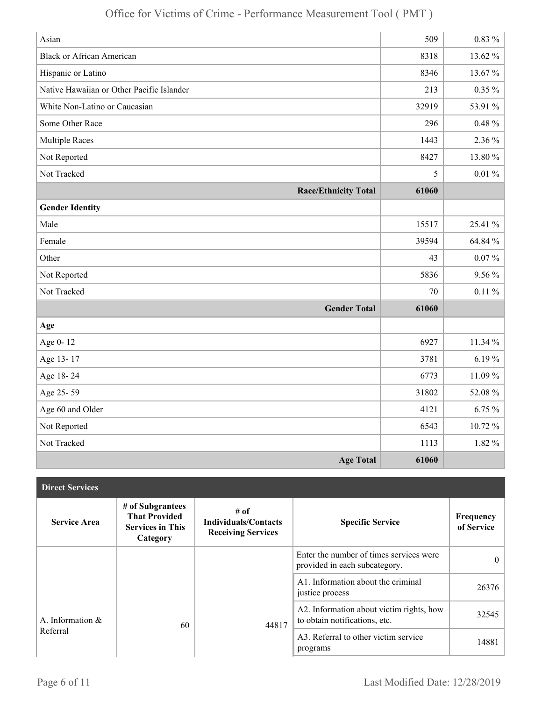| Asian                                     | 509   | $0.83\%$    |
|-------------------------------------------|-------|-------------|
| <b>Black or African American</b>          | 8318  | 13.62 %     |
| Hispanic or Latino                        | 8346  | 13.67%      |
| Native Hawaiian or Other Pacific Islander | 213   | $0.35 \%$   |
| White Non-Latino or Caucasian             | 32919 | 53.91 %     |
| Some Other Race                           | 296   | $0.48 \%$   |
| <b>Multiple Races</b>                     | 1443  | 2.36 %      |
| Not Reported                              | 8427  | $13.80\,\%$ |
| Not Tracked                               | 5     | $0.01 \%$   |
| <b>Race/Ethnicity Total</b>               | 61060 |             |
| <b>Gender Identity</b>                    |       |             |
| Male                                      | 15517 | 25.41 %     |
| Female                                    | 39594 | 64.84 %     |
| Other                                     | 43    | $0.07\%$    |
| Not Reported                              | 5836  | $9.56\%$    |
| Not Tracked                               | 70    | $0.11\%$    |
| <b>Gender Total</b>                       | 61060 |             |
| Age                                       |       |             |
| Age 0-12                                  | 6927  | 11.34 %     |
| Age 13-17                                 | 3781  | 6.19%       |
| Age 18-24                                 | 6773  | 11.09%      |
| Age 25-59                                 | 31802 | 52.08 %     |
| Age 60 and Older                          | 4121  | $6.75\%$    |
| Not Reported                              | 6543  | 10.72%      |
| Not Tracked                               | 1113  | 1.82 %      |
| <b>Age Total</b>                          | 61060 |             |

| <b>Direct Services</b> |                                                                                 |                                                                  |                                                                           |                         |
|------------------------|---------------------------------------------------------------------------------|------------------------------------------------------------------|---------------------------------------------------------------------------|-------------------------|
| <b>Service Area</b>    | # of Subgrantees<br><b>That Provided</b><br><b>Services in This</b><br>Category | # of<br><b>Individuals/Contacts</b><br><b>Receiving Services</b> | <b>Specific Service</b>                                                   | Frequency<br>of Service |
|                        |                                                                                 |                                                                  | Enter the number of times services were<br>provided in each subcategory.  | $\theta$                |
|                        |                                                                                 |                                                                  | A1. Information about the criminal<br>justice process                     | 26376                   |
| A. Information &       | 60                                                                              | 44817                                                            | A2. Information about victim rights, how<br>to obtain notifications, etc. | 32545                   |
| Referral               |                                                                                 |                                                                  | A3. Referral to other victim service<br>programs                          | 14881                   |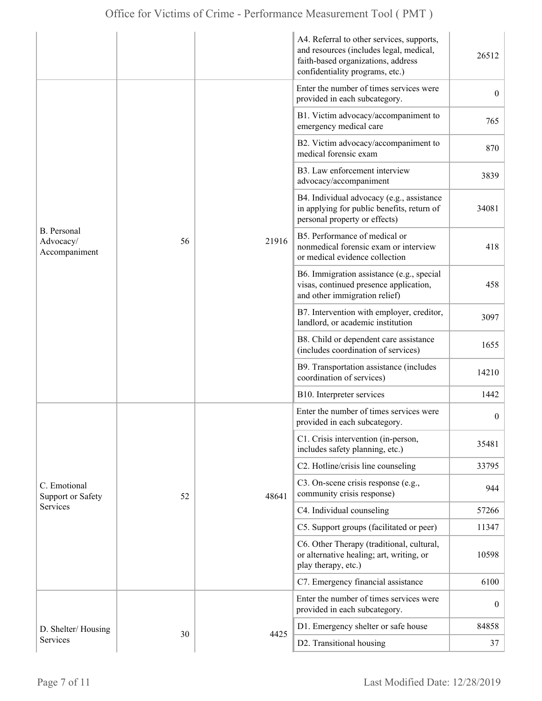|                                                  |    |       | A4. Referral to other services, supports,<br>and resources (includes legal, medical,<br>faith-based organizations, address<br>confidentiality programs, etc.) | 26512            |
|--------------------------------------------------|----|-------|---------------------------------------------------------------------------------------------------------------------------------------------------------------|------------------|
|                                                  |    |       | Enter the number of times services were<br>provided in each subcategory.                                                                                      | $\overline{0}$   |
|                                                  |    |       | B1. Victim advocacy/accompaniment to<br>emergency medical care                                                                                                | 765              |
|                                                  |    |       | B2. Victim advocacy/accompaniment to<br>medical forensic exam                                                                                                 | 870              |
|                                                  |    |       | B3. Law enforcement interview<br>advocacy/accompaniment                                                                                                       | 3839             |
|                                                  |    |       | B4. Individual advocacy (e.g., assistance<br>in applying for public benefits, return of<br>personal property or effects)                                      | 34081            |
| <b>B.</b> Personal<br>Advocacy/<br>Accompaniment | 56 | 21916 | B5. Performance of medical or<br>nonmedical forensic exam or interview<br>or medical evidence collection                                                      | 418              |
|                                                  |    |       | B6. Immigration assistance (e.g., special<br>visas, continued presence application,<br>and other immigration relief)                                          | 458              |
|                                                  |    |       | B7. Intervention with employer, creditor,<br>landlord, or academic institution                                                                                | 3097             |
|                                                  |    |       | B8. Child or dependent care assistance<br>(includes coordination of services)                                                                                 | 1655             |
|                                                  |    |       | B9. Transportation assistance (includes<br>coordination of services)                                                                                          | 14210            |
|                                                  |    |       | B10. Interpreter services                                                                                                                                     | 1442             |
|                                                  |    |       | Enter the number of times services were<br>provided in each subcategory.                                                                                      | $\boldsymbol{0}$ |
|                                                  |    |       | C1. Crisis intervention (in-person,<br>includes safety planning, etc.)                                                                                        | 35481            |
|                                                  |    |       | C2. Hotline/crisis line counseling                                                                                                                            | 33795            |
| C. Emotional<br>Support or Safety                | 52 | 48641 | C3. On-scene crisis response (e.g.,<br>community crisis response)                                                                                             | 944              |
| <b>Services</b>                                  |    |       | C4. Individual counseling                                                                                                                                     | 57266            |
|                                                  |    |       | C5. Support groups (facilitated or peer)                                                                                                                      | 11347            |
|                                                  |    |       | C6. Other Therapy (traditional, cultural,<br>or alternative healing; art, writing, or<br>play therapy, etc.)                                                  | 10598            |
|                                                  |    |       | C7. Emergency financial assistance                                                                                                                            | 6100             |
|                                                  |    |       | Enter the number of times services were<br>provided in each subcategory.                                                                                      | $\overline{0}$   |
| D. Shelter/Housing                               |    |       | D1. Emergency shelter or safe house                                                                                                                           | 84858            |
| Services                                         | 30 | 4425  | D2. Transitional housing                                                                                                                                      | 37               |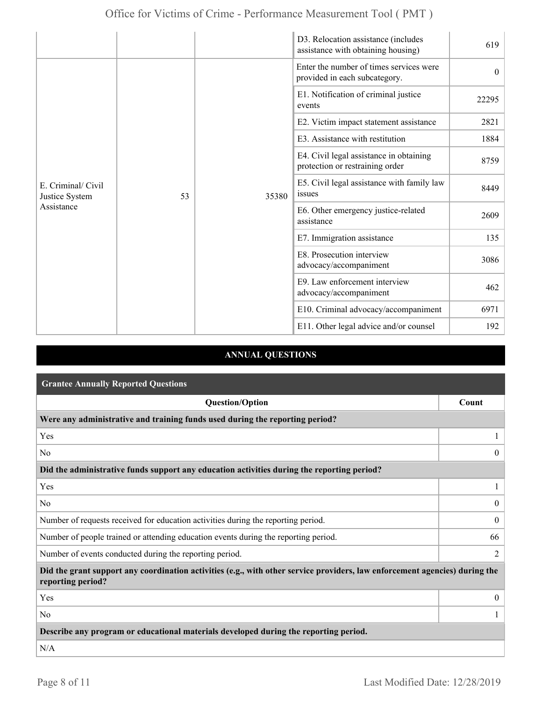|                                                    |    |       | D3. Relocation assistance (includes<br>assistance with obtaining housing)  | 619      |
|----------------------------------------------------|----|-------|----------------------------------------------------------------------------|----------|
|                                                    |    |       | Enter the number of times services were<br>provided in each subcategory.   | $\theta$ |
|                                                    |    |       | E1. Notification of criminal justice<br>events                             | 22295    |
|                                                    |    |       | E2. Victim impact statement assistance                                     | 2821     |
| E. Criminal/ Civil<br>Justice System<br>Assistance |    |       | E3. Assistance with restitution                                            | 1884     |
|                                                    |    | 35380 | E4. Civil legal assistance in obtaining<br>protection or restraining order | 8759     |
|                                                    | 53 |       | E5. Civil legal assistance with family law<br>issues                       | 8449     |
|                                                    |    |       | E6. Other emergency justice-related<br>assistance                          | 2609     |
|                                                    |    |       | E7. Immigration assistance                                                 | 135      |
|                                                    |    |       | E8. Prosecution interview<br>advocacy/accompaniment                        | 3086     |
|                                                    |    |       | E9. Law enforcement interview<br>advocacy/accompaniment                    | 462      |
|                                                    |    |       | E10. Criminal advocacy/accompaniment                                       | 6971     |
|                                                    |    |       | E11. Other legal advice and/or counsel                                     | 192      |

## **ANNUAL QUESTIONS**

| <b>Grantee Annually Reported Questions</b>                                                                                                       |                  |  |
|--------------------------------------------------------------------------------------------------------------------------------------------------|------------------|--|
| <b>Question/Option</b>                                                                                                                           | Count            |  |
| Were any administrative and training funds used during the reporting period?                                                                     |                  |  |
| Yes                                                                                                                                              |                  |  |
| N <sub>0</sub>                                                                                                                                   | $\theta$         |  |
| Did the administrative funds support any education activities during the reporting period?                                                       |                  |  |
| Yes                                                                                                                                              | 1                |  |
| N <sub>0</sub>                                                                                                                                   | $\boldsymbol{0}$ |  |
| Number of requests received for education activities during the reporting period.                                                                | $\overline{0}$   |  |
| Number of people trained or attending education events during the reporting period.                                                              | 66               |  |
| Number of events conducted during the reporting period.                                                                                          |                  |  |
| Did the grant support any coordination activities (e.g., with other service providers, law enforcement agencies) during the<br>reporting period? |                  |  |
| Yes                                                                                                                                              | $\overline{0}$   |  |
| N <sub>0</sub>                                                                                                                                   |                  |  |
| Describe any program or educational materials developed during the reporting period.                                                             |                  |  |
| N/A                                                                                                                                              |                  |  |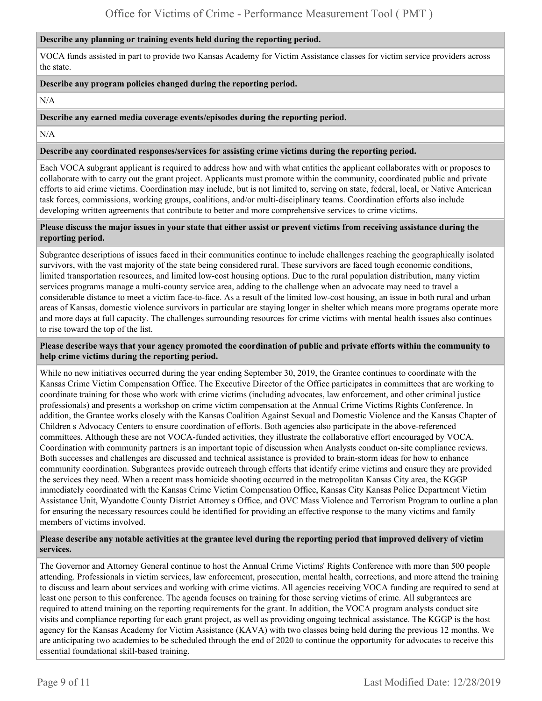#### **Describe any planning or training events held during the reporting period.**

VOCA funds assisted in part to provide two Kansas Academy for Victim Assistance classes for victim service providers across the state.

#### **Describe any program policies changed during the reporting period.**

N/A

#### **Describe any earned media coverage events/episodes during the reporting period.**

N/A

#### **Describe any coordinated responses/services for assisting crime victims during the reporting period.**

Each VOCA subgrant applicant is required to address how and with what entities the applicant collaborates with or proposes to collaborate with to carry out the grant project. Applicants must promote within the community, coordinated public and private efforts to aid crime victims. Coordination may include, but is not limited to, serving on state, federal, local, or Native American task forces, commissions, working groups, coalitions, and/or multi-disciplinary teams. Coordination efforts also include developing written agreements that contribute to better and more comprehensive services to crime victims.

#### **Please discuss the major issues in your state that either assist or prevent victims from receiving assistance during the reporting period.**

Subgrantee descriptions of issues faced in their communities continue to include challenges reaching the geographically isolated survivors, with the vast majority of the state being considered rural. These survivors are faced tough economic conditions, limited transportation resources, and limited low-cost housing options. Due to the rural population distribution, many victim services programs manage a multi-county service area, adding to the challenge when an advocate may need to travel a considerable distance to meet a victim face-to-face. As a result of the limited low-cost housing, an issue in both rural and urban areas of Kansas, domestic violence survivors in particular are staying longer in shelter which means more programs operate more and more days at full capacity. The challenges surrounding resources for crime victims with mental health issues also continues to rise toward the top of the list.

#### **Please describe ways that your agency promoted the coordination of public and private efforts within the community to help crime victims during the reporting period.**

While no new initiatives occurred during the year ending September 30, 2019, the Grantee continues to coordinate with the Kansas Crime Victim Compensation Office. The Executive Director of the Office participates in committees that are working to coordinate training for those who work with crime victims (including advocates, law enforcement, and other criminal justice professionals) and presents a workshop on crime victim compensation at the Annual Crime Victims Rights Conference. In addition, the Grantee works closely with the Kansas Coalition Against Sexual and Domestic Violence and the Kansas Chapter of Children s Advocacy Centers to ensure coordination of efforts. Both agencies also participate in the above-referenced committees. Although these are not VOCA-funded activities, they illustrate the collaborative effort encouraged by VOCA. Coordination with community partners is an important topic of discussion when Analysts conduct on-site compliance reviews. Both successes and challenges are discussed and technical assistance is provided to brain-storm ideas for how to enhance community coordination. Subgrantees provide outreach through efforts that identify crime victims and ensure they are provided the services they need. When a recent mass homicide shooting occurred in the metropolitan Kansas City area, the KGGP immediately coordinated with the Kansas Crime Victim Compensation Office, Kansas City Kansas Police Department Victim Assistance Unit, Wyandotte County District Attorney s Office, and OVC Mass Violence and Terrorism Program to outline a plan for ensuring the necessary resources could be identified for providing an effective response to the many victims and family members of victims involved.

#### **Please describe any notable activities at the grantee level during the reporting period that improved delivery of victim services.**

The Governor and Attorney General continue to host the Annual Crime Victims' Rights Conference with more than 500 people attending. Professionals in victim services, law enforcement, prosecution, mental health, corrections, and more attend the training to discuss and learn about services and working with crime victims. All agencies receiving VOCA funding are required to send at least one person to this conference. The agenda focuses on training for those serving victims of crime. All subgrantees are required to attend training on the reporting requirements for the grant. In addition, the VOCA program analysts conduct site visits and compliance reporting for each grant project, as well as providing ongoing technical assistance. The KGGP is the host agency for the Kansas Academy for Victim Assistance (KAVA) with two classes being held during the previous 12 months. We are anticipating two academies to be scheduled through the end of 2020 to continue the opportunity for advocates to receive this essential foundational skill-based training.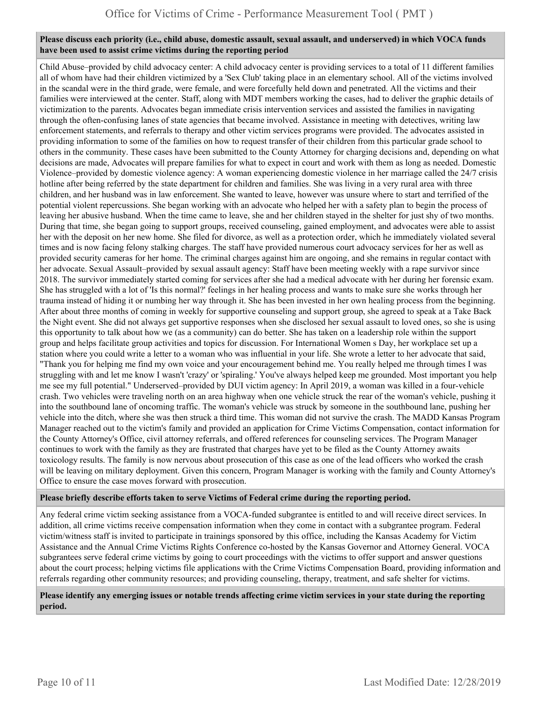#### **Please discuss each priority (i.e., child abuse, domestic assault, sexual assault, and underserved) in which VOCA funds have been used to assist crime victims during the reporting period**

Child Abuse–provided by child advocacy center: A child advocacy center is providing services to a total of 11 different families all of whom have had their children victimized by a 'Sex Club' taking place in an elementary school. All of the victims involved in the scandal were in the third grade, were female, and were forcefully held down and penetrated. All the victims and their families were interviewed at the center. Staff, along with MDT members working the cases, had to deliver the graphic details of victimization to the parents. Advocates began immediate crisis intervention services and assisted the families in navigating through the often-confusing lanes of state agencies that became involved. Assistance in meeting with detectives, writing law enforcement statements, and referrals to therapy and other victim services programs were provided. The advocates assisted in providing information to some of the families on how to request transfer of their children from this particular grade school to others in the community. These cases have been submitted to the County Attorney for charging decisions and, depending on what decisions are made, Advocates will prepare families for what to expect in court and work with them as long as needed. Domestic Violence–provided by domestic violence agency: A woman experiencing domestic violence in her marriage called the 24/7 crisis hotline after being referred by the state department for children and families. She was living in a very rural area with three children, and her husband was in law enforcement. She wanted to leave, however was unsure where to start and terrified of the potential violent repercussions. She began working with an advocate who helped her with a safety plan to begin the process of leaving her abusive husband. When the time came to leave, she and her children stayed in the shelter for just shy of two months. During that time, she began going to support groups, received counseling, gained employment, and advocates were able to assist her with the deposit on her new home. She filed for divorce, as well as a protection order, which he immediately violated several times and is now facing felony stalking charges. The staff have provided numerous court advocacy services for her as well as provided security cameras for her home. The criminal charges against him are ongoing, and she remains in regular contact with her advocate. Sexual Assault–provided by sexual assault agency: Staff have been meeting weekly with a rape survivor since 2018. The survivor immediately started coming for services after she had a medical advocate with her during her forensic exam. She has struggled with a lot of 'Is this normal?' feelings in her healing process and wants to make sure she works through her trauma instead of hiding it or numbing her way through it. She has been invested in her own healing process from the beginning. After about three months of coming in weekly for supportive counseling and support group, she agreed to speak at a Take Back the Night event. She did not always get supportive responses when she disclosed her sexual assault to loved ones, so she is using this opportunity to talk about how we (as a community) can do better. She has taken on a leadership role within the support group and helps facilitate group activities and topics for discussion. For International Women s Day, her workplace set up a station where you could write a letter to a woman who was influential in your life. She wrote a letter to her advocate that said, "Thank you for helping me find my own voice and your encouragement behind me. You really helped me through times I was struggling with and let me know I wasn't 'crazy' or 'spiraling.' You've always helped keep me grounded. Most important you help me see my full potential." Underserved–provided by DUI victim agency: In April 2019, a woman was killed in a four-vehicle crash. Two vehicles were traveling north on an area highway when one vehicle struck the rear of the woman's vehicle, pushing it into the southbound lane of oncoming traffic. The woman's vehicle was struck by someone in the southbound lane, pushing her vehicle into the ditch, where she was then struck a third time. This woman did not survive the crash. The MADD Kansas Program Manager reached out to the victim's family and provided an application for Crime Victims Compensation, contact information for the County Attorney's Office, civil attorney referrals, and offered references for counseling services. The Program Manager continues to work with the family as they are frustrated that charges have yet to be filed as the County Attorney awaits toxicology results. The family is now nervous about prosecution of this case as one of the lead officers who worked the crash will be leaving on military deployment. Given this concern, Program Manager is working with the family and County Attorney's Office to ensure the case moves forward with prosecution.

#### **Please briefly describe efforts taken to serve Victims of Federal crime during the reporting period.**

Any federal crime victim seeking assistance from a VOCA-funded subgrantee is entitled to and will receive direct services. In addition, all crime victims receive compensation information when they come in contact with a subgrantee program. Federal victim/witness staff is invited to participate in trainings sponsored by this office, including the Kansas Academy for Victim Assistance and the Annual Crime Victims Rights Conference co-hosted by the Kansas Governor and Attorney General. VOCA subgrantees serve federal crime victims by going to court proceedings with the victims to offer support and answer questions about the court process; helping victims file applications with the Crime Victims Compensation Board, providing information and referrals regarding other community resources; and providing counseling, therapy, treatment, and safe shelter for victims.

#### **Please identify any emerging issues or notable trends affecting crime victim services in your state during the reporting period.**